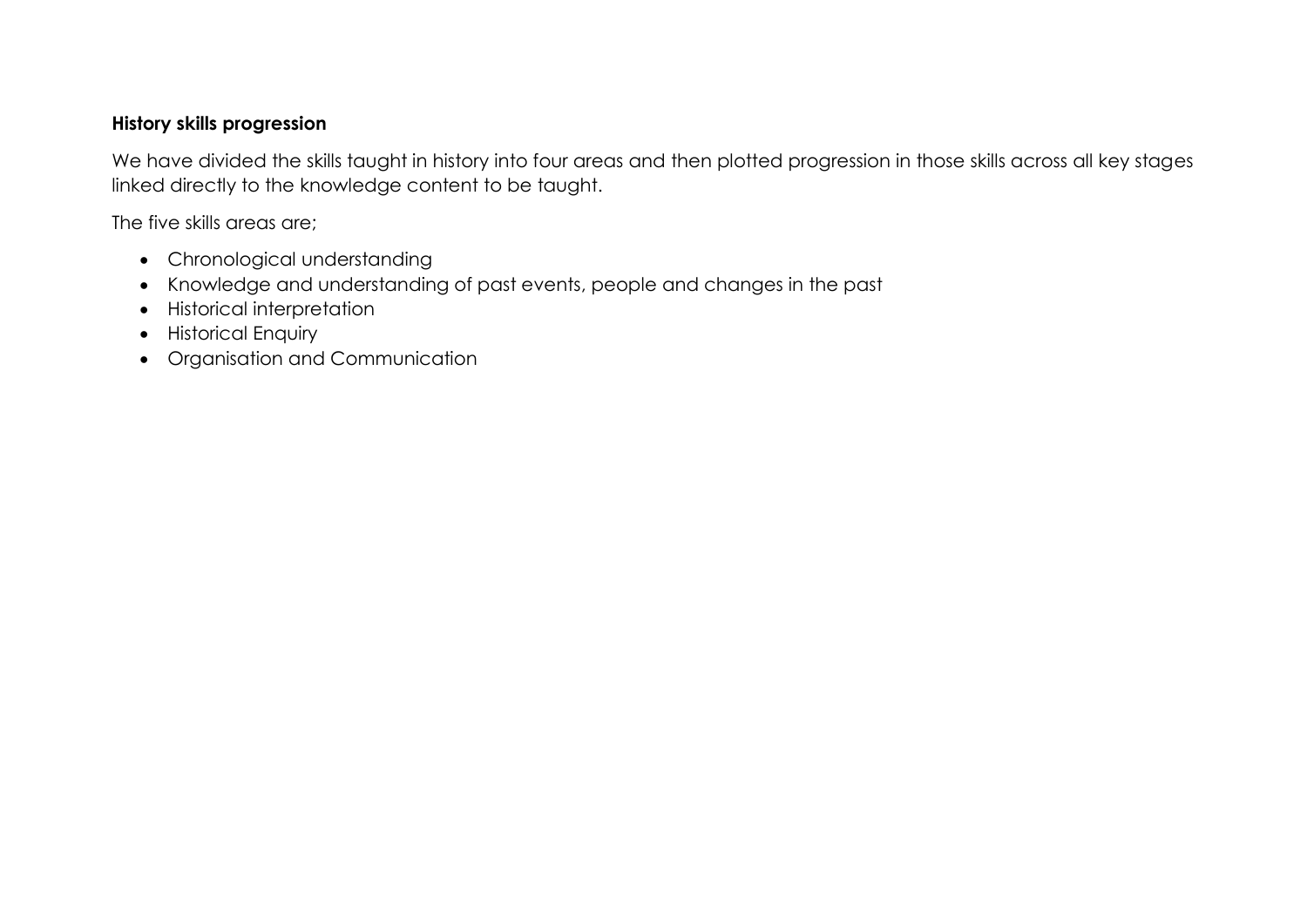## **History skills progression**

We have divided the skills taught in history into four areas and then plotted progression in those skills across all key stages linked directly to the knowledge content to be taught.

The five skills areas are;

- Chronological understanding
- Knowledge and understanding of past events, people and changes in the past
- Historical interpretation
- **•** Historical Enquiry
- Organisation and Communication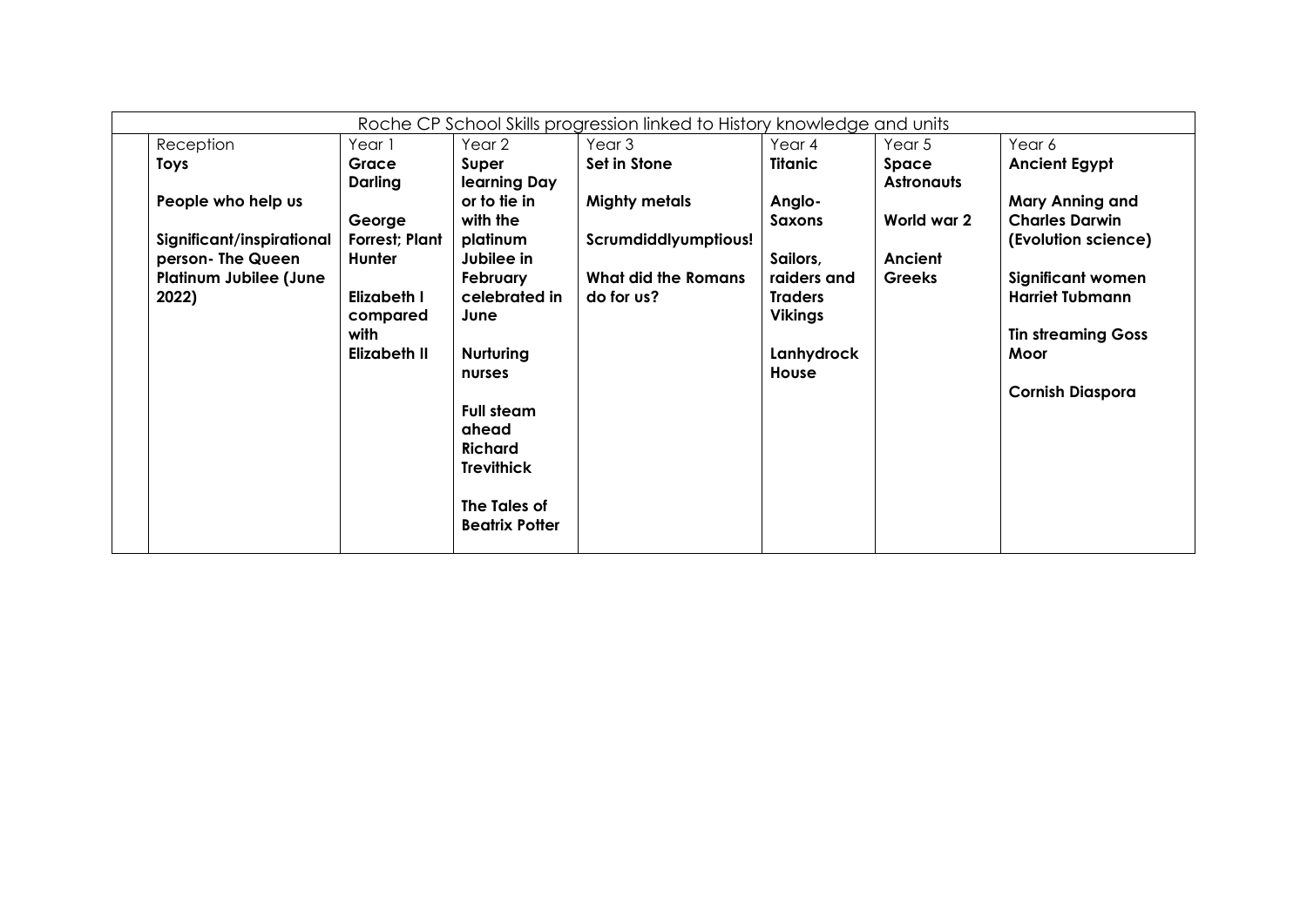| Reception<br>Year 2<br>Year 3<br>Year 4<br>Year 5<br>Year 6<br>Year 1<br>Set in Stone<br>Titanic<br><b>Ancient Egypt</b><br><b>Toys</b><br>Grace<br>Super<br>Space<br>Darling<br>learning Day<br><b>Astronauts</b><br>or to tie in<br><b>Mighty metals</b><br><b>Mary Anning and</b><br>People who help us<br>Anglo- |  |
|----------------------------------------------------------------------------------------------------------------------------------------------------------------------------------------------------------------------------------------------------------------------------------------------------------------------|--|
|                                                                                                                                                                                                                                                                                                                      |  |
|                                                                                                                                                                                                                                                                                                                      |  |
|                                                                                                                                                                                                                                                                                                                      |  |
|                                                                                                                                                                                                                                                                                                                      |  |
| with the<br>World war 2<br><b>Charles Darwin</b><br>George<br>Saxons                                                                                                                                                                                                                                                 |  |
| <b>Forrest: Plant</b><br>Significant/inspirational<br>platinum<br>Scrumdiddlyumptious!<br>(Evolution science)                                                                                                                                                                                                        |  |
| person- The Queen<br>Jubilee in<br>Hunter<br>Sailors,<br>Ancient                                                                                                                                                                                                                                                     |  |
| <b>Platinum Jubilee (June</b><br>What did the Romans<br>February<br>raiders and<br><b>Greeks</b><br><b>Significant women</b>                                                                                                                                                                                         |  |
| celebrated in<br>2022)<br>Elizabeth I<br>do for us?<br><b>Harriet Tubmann</b><br><b>Traders</b>                                                                                                                                                                                                                      |  |
| <b>Vikings</b><br>compared<br>June                                                                                                                                                                                                                                                                                   |  |
| with<br><b>Tin streaming Goss</b>                                                                                                                                                                                                                                                                                    |  |
| Lanhydrock<br>Elizabeth II<br>Nurturing<br>Moor                                                                                                                                                                                                                                                                      |  |
| House<br>nurses                                                                                                                                                                                                                                                                                                      |  |
| <b>Cornish Diaspora</b>                                                                                                                                                                                                                                                                                              |  |
| <b>Full steam</b>                                                                                                                                                                                                                                                                                                    |  |
| ahead                                                                                                                                                                                                                                                                                                                |  |
| <b>Richard</b>                                                                                                                                                                                                                                                                                                       |  |
| <b>Trevithick</b>                                                                                                                                                                                                                                                                                                    |  |
| The Tales of                                                                                                                                                                                                                                                                                                         |  |
| <b>Beatrix Potter</b>                                                                                                                                                                                                                                                                                                |  |
|                                                                                                                                                                                                                                                                                                                      |  |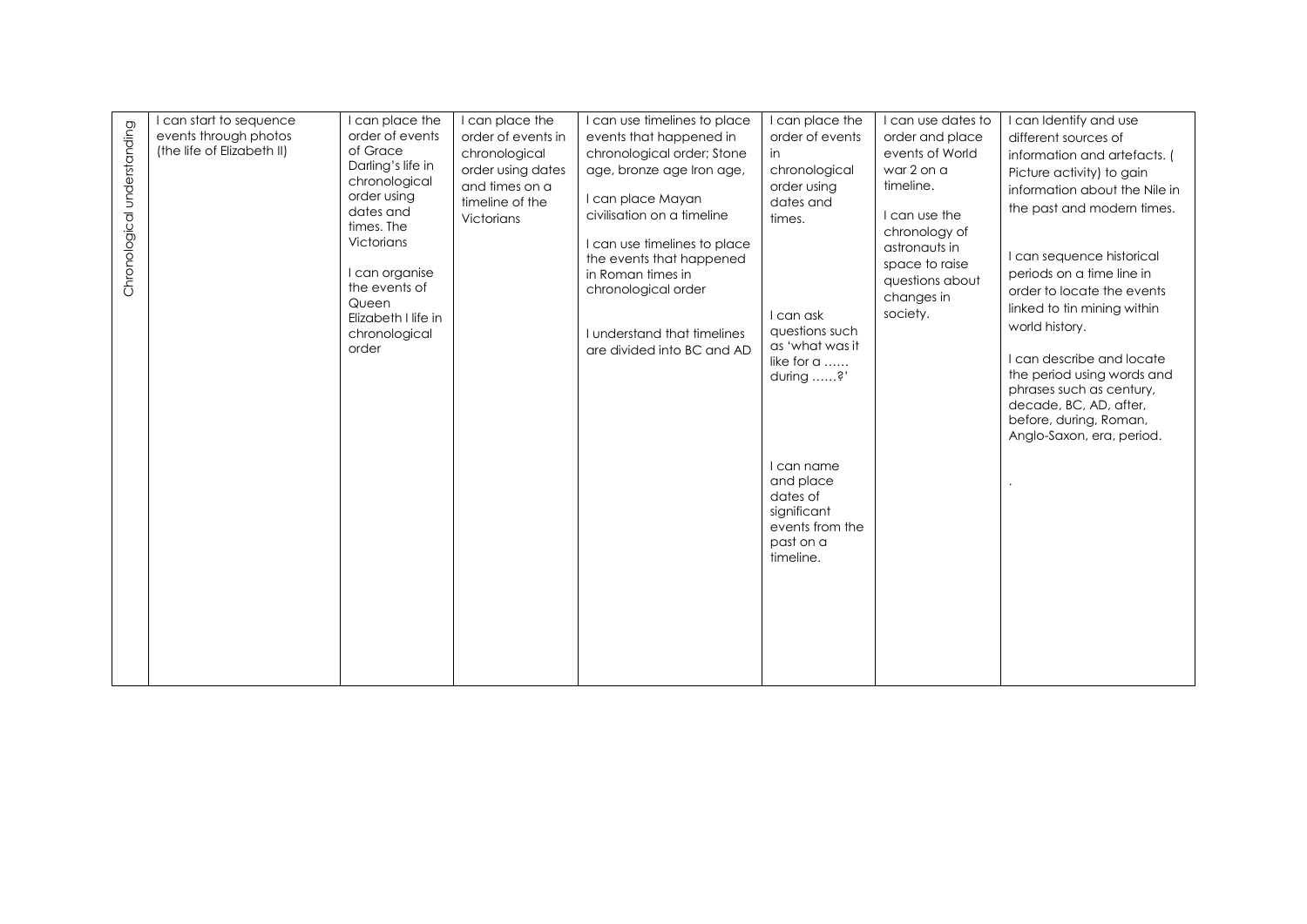|                             | can start to sequence      | I can place the                      | I can place the    | I can use timelines to place | I can place the                | I can use dates to            | I can Identify and use                             |
|-----------------------------|----------------------------|--------------------------------------|--------------------|------------------------------|--------------------------------|-------------------------------|----------------------------------------------------|
|                             | events through photos      | order of events                      | order of events in | events that happened in      | order of events                | order and place               | different sources of                               |
|                             | (the life of Elizabeth II) | of Grace                             | chronological      | chronological order; Stone   | in                             | events of World               | information and artefacts. (                       |
|                             |                            | Darling's life in                    | order using dates  | age, bronze age Iron age,    | chronological                  | war 2 on a                    | Picture activity) to gain                          |
|                             |                            | chronological                        | and times on a     |                              | order using                    | timeline.                     | information about the Nile in                      |
|                             |                            | order using                          | timeline of the    | I can place Mayan            | dates and                      |                               | the past and modern times.                         |
|                             |                            | dates and<br>times. The              | Victorians         | civilisation on a timeline   | times.                         | I can use the                 |                                                    |
| Chronological understanding |                            | Victorians                           |                    | I can use timelines to place |                                | chronology of                 |                                                    |
|                             |                            |                                      |                    | the events that happened     |                                | astronauts in                 | I can sequence historical                          |
|                             |                            | I can organise                       |                    | in Roman times in            |                                | space to raise                | periods on a time line in                          |
|                             |                            | the events of                        |                    | chronological order          |                                | questions about<br>changes in | order to locate the events                         |
|                             |                            | Queen                                |                    |                              | I can ask                      | society.                      | linked to tin mining within                        |
|                             |                            | Elizabeth I life in<br>chronological |                    | I understand that timelines  | questions such                 |                               | world history.                                     |
|                             |                            | order                                |                    | are divided into BC and AD   | as 'what was it                |                               |                                                    |
|                             |                            |                                      |                    |                              | like for a                     |                               | I can describe and locate                          |
|                             |                            |                                      |                    |                              | during ?'                      |                               | the period using words and                         |
|                             |                            |                                      |                    |                              |                                |                               | phrases such as century,<br>decade, BC, AD, after, |
|                             |                            |                                      |                    |                              |                                |                               | before, during, Roman,                             |
|                             |                            |                                      |                    |                              |                                |                               | Anglo-Saxon, era, period.                          |
|                             |                            |                                      |                    |                              |                                |                               |                                                    |
|                             |                            |                                      |                    |                              | I can name                     |                               |                                                    |
|                             |                            |                                      |                    |                              | and place                      |                               |                                                    |
|                             |                            |                                      |                    |                              | dates of                       |                               |                                                    |
|                             |                            |                                      |                    |                              | significant<br>events from the |                               |                                                    |
|                             |                            |                                      |                    |                              | past on a                      |                               |                                                    |
|                             |                            |                                      |                    |                              | timeline.                      |                               |                                                    |
|                             |                            |                                      |                    |                              |                                |                               |                                                    |
|                             |                            |                                      |                    |                              |                                |                               |                                                    |
|                             |                            |                                      |                    |                              |                                |                               |                                                    |
|                             |                            |                                      |                    |                              |                                |                               |                                                    |
|                             |                            |                                      |                    |                              |                                |                               |                                                    |
|                             |                            |                                      |                    |                              |                                |                               |                                                    |
|                             |                            |                                      |                    |                              |                                |                               |                                                    |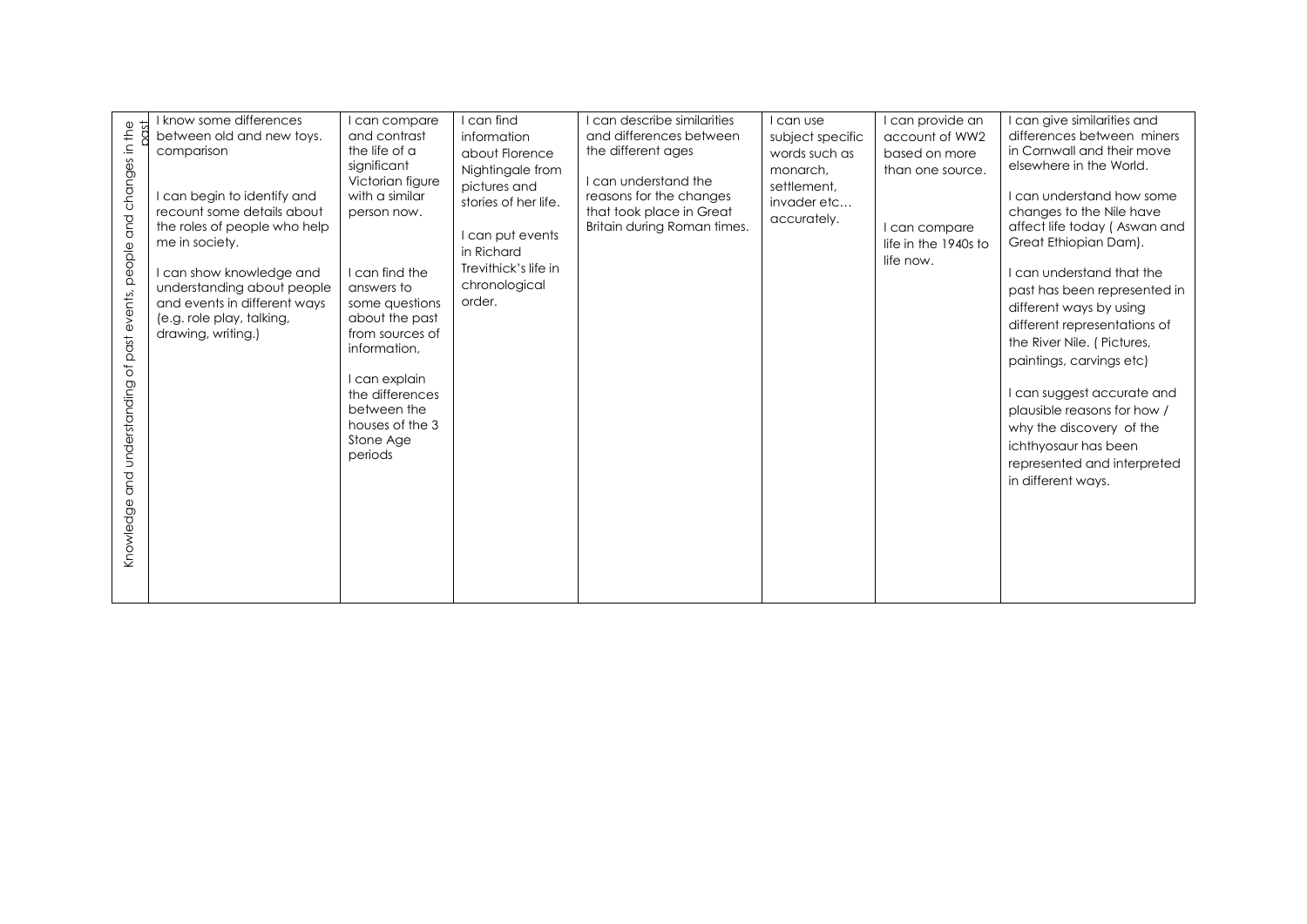|                                                    | know some differences        | I can compare    | I can find           | I can describe similarities | I can use        | I can provide an     | I can give similarities and  |
|----------------------------------------------------|------------------------------|------------------|----------------------|-----------------------------|------------------|----------------------|------------------------------|
|                                                    | between old and new toys.    | and contrast     | information          | and differences between     | subject specific | account of WW2       | differences between miners   |
|                                                    | comparison                   | the life of a    | about Florence       | the different ages          | words such as    | based on more        | in Cornwall and their move   |
|                                                    |                              | significant      | Nightingale from     |                             | monarch.         | than one source.     | elsewhere in the World.      |
|                                                    |                              | Victorian figure | pictures and         | I can understand the        | settlement,      |                      |                              |
|                                                    | can begin to identify and    | with a similar   |                      | reasons for the changes     |                  |                      | I can understand how some    |
|                                                    | recount some details about   | person now.      | stories of her life. | that took place in Great    | invader etc      |                      | changes to the Nile have     |
| and changes in the                                 | the roles of people who help |                  |                      | Britain during Roman times. | accurately.      | I can compare        | affect life today (Aswan and |
|                                                    | me in society.               |                  | I can put events     |                             |                  | life in the 1940s to | Great Ethiopian Dam).        |
|                                                    |                              |                  | in Richard           |                             |                  |                      |                              |
|                                                    |                              | I can find the   | Trevithick's life in |                             |                  | life now.            | I can understand that the    |
|                                                    | I can show knowledge and     |                  | chronological        |                             |                  |                      |                              |
|                                                    | understanding about people   | answers to       | order.               |                             |                  |                      | past has been represented in |
|                                                    | and events in different ways | some questions   |                      |                             |                  |                      | different ways by using      |
|                                                    | (e.g. role play, talking,    | about the past   |                      |                             |                  |                      | different representations of |
|                                                    | drawing, writing.)           | from sources of  |                      |                             |                  |                      | the River Nile. (Pictures,   |
|                                                    |                              | information,     |                      |                             |                  |                      |                              |
| Knowledge and understanding of past events, people |                              |                  |                      |                             |                  |                      | paintings, carvings etc)     |
|                                                    |                              | I can explain    |                      |                             |                  |                      |                              |
|                                                    |                              | the differences  |                      |                             |                  |                      | I can suggest accurate and   |
|                                                    |                              | between the      |                      |                             |                  |                      | plausible reasons for how /  |
|                                                    |                              | houses of the 3  |                      |                             |                  |                      | why the discovery of the     |
|                                                    |                              | Stone Age        |                      |                             |                  |                      |                              |
|                                                    |                              | periods          |                      |                             |                  |                      | ichthyosaur has been         |
|                                                    |                              |                  |                      |                             |                  |                      | represented and interpreted  |
|                                                    |                              |                  |                      |                             |                  |                      | in different ways.           |
|                                                    |                              |                  |                      |                             |                  |                      |                              |
|                                                    |                              |                  |                      |                             |                  |                      |                              |
|                                                    |                              |                  |                      |                             |                  |                      |                              |
|                                                    |                              |                  |                      |                             |                  |                      |                              |
|                                                    |                              |                  |                      |                             |                  |                      |                              |
|                                                    |                              |                  |                      |                             |                  |                      |                              |
|                                                    |                              |                  |                      |                             |                  |                      |                              |
|                                                    |                              |                  |                      |                             |                  |                      |                              |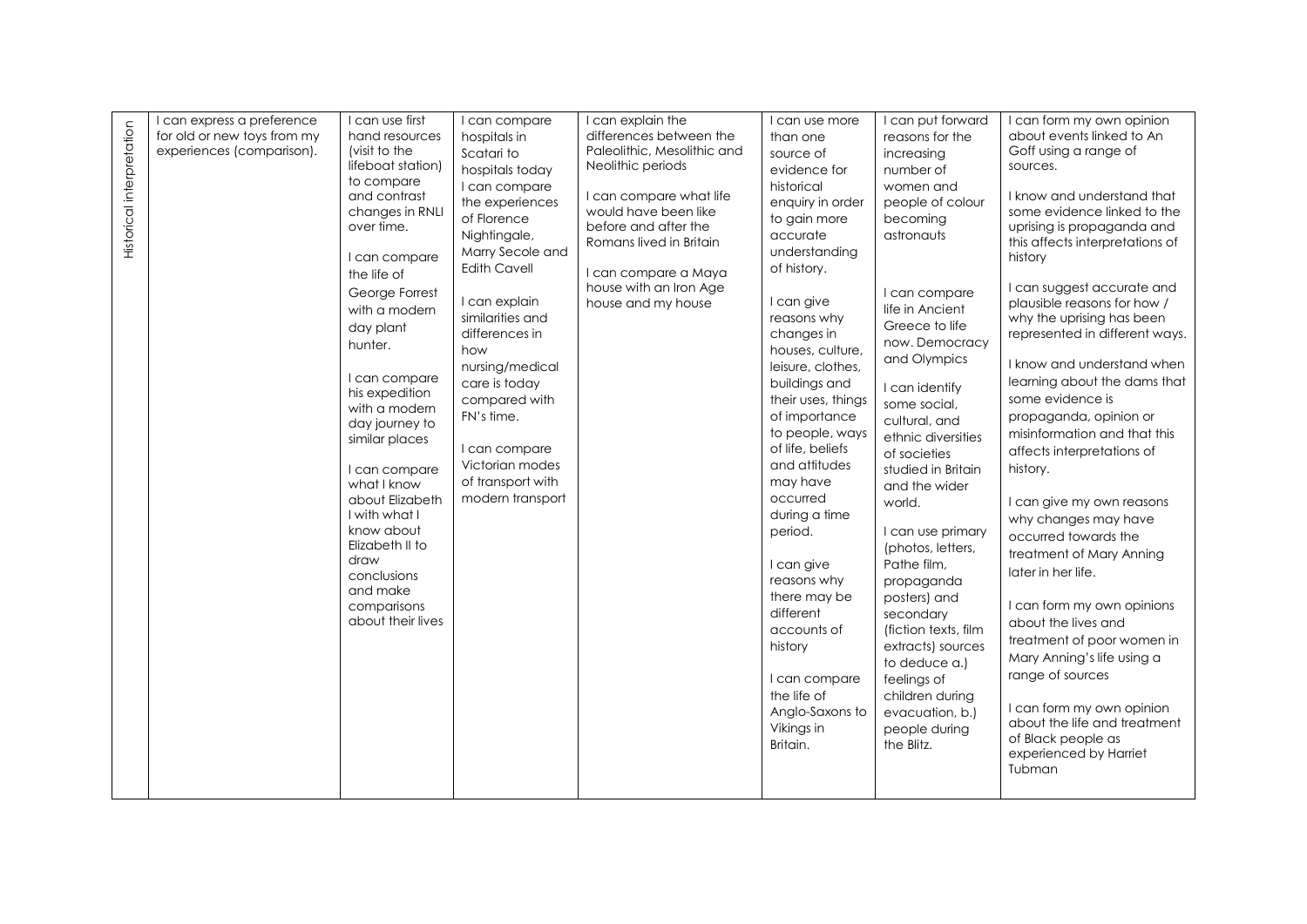| Historical interpretation | I can express a preference<br>for old or new toys from my<br>experiences (comparison). | I can use first<br>hand resources<br>(visit to the<br>lifeboat station)<br>to compare<br>and contrast<br>changes in RNLI<br>over time.<br>I can compare<br>the life of<br>George Forrest<br>with a modern<br>day plant<br>hunter.<br>I can compare<br>his expedition<br>with a modern<br>day journey to<br>similar places<br>I can compare<br>what I know<br>about Elizabeth<br>I with what I<br>know about<br>Elizabeth II to<br>draw<br>conclusions<br>and make<br>comparisons<br>about their lives | I can compare<br>hospitals in<br>Scatari to<br>hospitals today<br>I can compare<br>the experiences<br>of Florence<br>Nightingale,<br>Marry Secole and<br><b>Edith Cavell</b><br>I can explain<br>similarities and<br>differences in<br>how<br>nursing/medical<br>care is today<br>compared with<br>FN's time.<br>I can compare<br>Victorian modes<br>of transport with<br>modern transport | I can explain the<br>differences between the<br>Paleolithic, Mesolithic and<br>Neolithic periods<br>I can compare what life<br>would have been like<br>before and after the<br>Romans lived in Britain<br>I can compare a Maya<br>house with an Iron Age<br>house and my house | I can use more<br>than one<br>source of<br>evidence for<br>historical<br>enquiry in order<br>to gain more<br>accurate<br>understanding<br>of history.<br>I can give<br>reasons why<br>changes in<br>houses, culture,<br>leisure, clothes,<br>buildings and<br>their uses, things<br>of importance<br>to people, ways<br>of life, beliefs<br>and attitudes<br>may have<br>occurred<br>during a time<br>period.<br>I can give<br>reasons why<br>there may be<br>different | I can put forward<br>reasons for the<br>increasing<br>number of<br>women and<br>people of colour<br>becoming<br>astronauts<br>I can compare<br>life in Ancient<br>Greece to life<br>now. Democracy<br>and Olympics<br>I can identify<br>some social,<br>cultural, and<br>ethnic diversities<br>of societies<br>studied in Britain<br>and the wider<br>world.<br>I can use primary<br>(photos, letters,<br>Pathe film,<br>propaganda<br>posters) and<br>secondary | I can form my own opinion<br>about events linked to An<br>Goff using a range of<br>sources.<br>I know and understand that<br>some evidence linked to the<br>uprising is propaganda and<br>this affects interpretations of<br>history<br>I can suggest accurate and<br>plausible reasons for how /<br>why the uprising has been<br>represented in different ways.<br>I know and understand when<br>learning about the dams that<br>some evidence is<br>propaganda, opinion or<br>misinformation and that this<br>affects interpretations of<br>history.<br>I can give my own reasons<br>why changes may have<br>occurred towards the<br>treatment of Mary Anning<br>later in her life.<br>I can form my own opinions<br>about the lives and |
|---------------------------|----------------------------------------------------------------------------------------|-------------------------------------------------------------------------------------------------------------------------------------------------------------------------------------------------------------------------------------------------------------------------------------------------------------------------------------------------------------------------------------------------------------------------------------------------------------------------------------------------------|--------------------------------------------------------------------------------------------------------------------------------------------------------------------------------------------------------------------------------------------------------------------------------------------------------------------------------------------------------------------------------------------|--------------------------------------------------------------------------------------------------------------------------------------------------------------------------------------------------------------------------------------------------------------------------------|-------------------------------------------------------------------------------------------------------------------------------------------------------------------------------------------------------------------------------------------------------------------------------------------------------------------------------------------------------------------------------------------------------------------------------------------------------------------------|------------------------------------------------------------------------------------------------------------------------------------------------------------------------------------------------------------------------------------------------------------------------------------------------------------------------------------------------------------------------------------------------------------------------------------------------------------------|--------------------------------------------------------------------------------------------------------------------------------------------------------------------------------------------------------------------------------------------------------------------------------------------------------------------------------------------------------------------------------------------------------------------------------------------------------------------------------------------------------------------------------------------------------------------------------------------------------------------------------------------------------------------------------------------------------------------------------------------|
|                           |                                                                                        |                                                                                                                                                                                                                                                                                                                                                                                                                                                                                                       |                                                                                                                                                                                                                                                                                                                                                                                            |                                                                                                                                                                                                                                                                                | accounts of<br>history<br>I can compare<br>the life of<br>Anglo-Saxons to<br>Vikings in<br>Britain.                                                                                                                                                                                                                                                                                                                                                                     | (fiction texts, film<br>extracts) sources<br>to deduce a.)<br>feelings of<br>children during<br>evacuation, b.)<br>people during<br>the Blitz.                                                                                                                                                                                                                                                                                                                   | treatment of poor women in<br>Mary Anning's life using a<br>range of sources<br>I can form my own opinion<br>about the life and treatment<br>of Black people as<br>experienced by Harriet<br>Tubman                                                                                                                                                                                                                                                                                                                                                                                                                                                                                                                                        |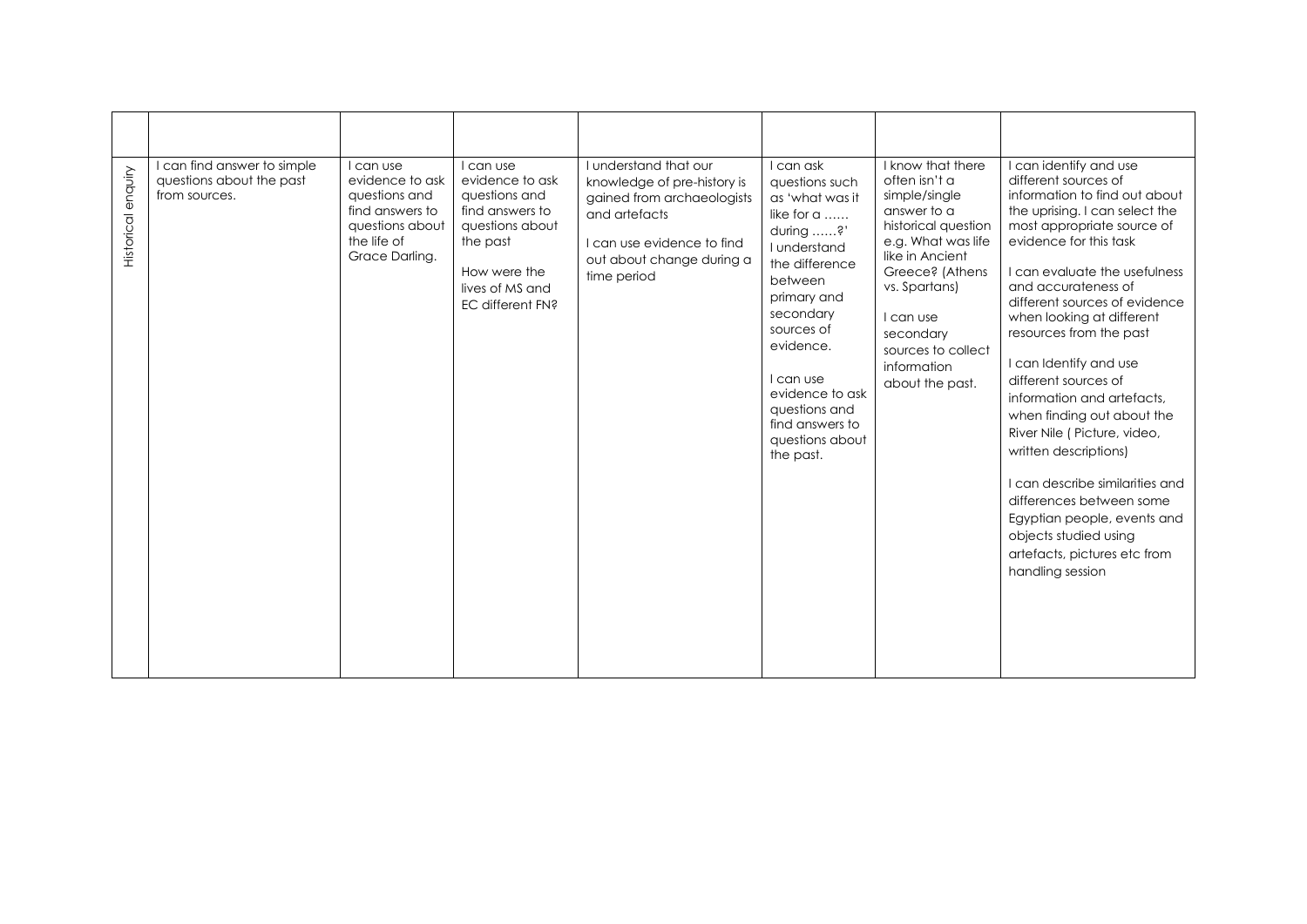| enquiry<br>Historical | I can find answer to simple<br>questions about the past<br>from sources. | can use<br>evidence to ask<br>questions and<br>find answers to<br>questions about<br>the life of<br>Grace Darlina. | I can use<br>evidence to ask<br>questions and<br>find answers to<br>questions about<br>the past<br>How were the<br>lives of MS and<br>EC different FN? | I understand that our<br>knowledge of pre-history is<br>gained from archaeologists<br>and artefacts<br>I can use evidence to find<br>out about change during a<br>time period | I can ask<br>questions such<br>as 'what was it<br>like for a<br>during ?'<br>Lunderstand<br>the difference<br>between<br>primary and<br>secondary<br>sources of<br>evidence.<br>I can use<br>evidence to ask<br>questions and<br>find answers to<br>questions about<br>the past. | I know that there<br>often isn't a<br>simple/single<br>answer to a<br>historical question<br>e.g. What was life<br>like in Ancient<br>Greece? (Athens<br>vs. Spartans)<br>I can use<br>secondary<br>sources to collect<br>information<br>about the past. | I can identify and use<br>different sources of<br>information to find out about<br>the uprising. I can select the<br>most appropriate source of<br>evidence for this task<br>I can evaluate the usefulness<br>and accurateness of<br>different sources of evidence<br>when looking at different<br>resources from the past<br>I can Identify and use<br>different sources of<br>information and artefacts.<br>when finding out about the<br>River Nile (Picture, video,<br>written descriptions)<br>I can describe similarities and<br>differences between some<br>Egyptian people, events and<br>objects studied using<br>artefacts, pictures etc from<br>handling session |
|-----------------------|--------------------------------------------------------------------------|--------------------------------------------------------------------------------------------------------------------|--------------------------------------------------------------------------------------------------------------------------------------------------------|-------------------------------------------------------------------------------------------------------------------------------------------------------------------------------|----------------------------------------------------------------------------------------------------------------------------------------------------------------------------------------------------------------------------------------------------------------------------------|----------------------------------------------------------------------------------------------------------------------------------------------------------------------------------------------------------------------------------------------------------|-----------------------------------------------------------------------------------------------------------------------------------------------------------------------------------------------------------------------------------------------------------------------------------------------------------------------------------------------------------------------------------------------------------------------------------------------------------------------------------------------------------------------------------------------------------------------------------------------------------------------------------------------------------------------------|